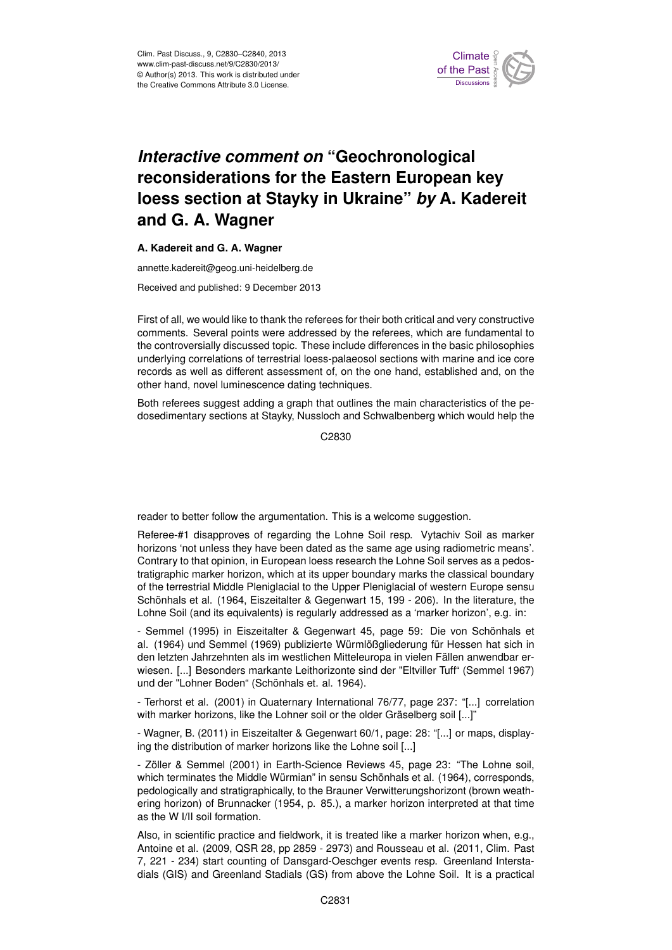

## **Interactive comment on "Geochronological** ane for th we have an loess section at Stayky in Ukraine" *by* A. Kadereit  $\epsilon$ maan ke reconsiderations for the Eastern European key )<br>C Geoscientific **and G. A. Wagner**

## A. Kadereit and G. A. Wagner

annette.kadereit@geog.uni-heidelberg.de

Hydrology and Received and published: 9 December 2013 3<br>0

First of all, we would like to thank the referees for their both critical and very constructive The controversially discussed topic. These include differences in the basic philosophies S:<br>DS<br>DS m<br>J<br>J underlying correlations of terrestrial loess-palaeosol sections with marine and ice core comments. Several points were addressed by the referees, which are fundamental to records as well as different assessment of, on the one hand, established and, on the other hand, novel luminescence dating techniques.

ling a graph that outlines the main characteristics τ<br>U<br>S of<br>d Both referees suggest adding a graph that outlines the main characteristics of the pedosedimentary sections at Stayky, Nussloch and Schwalbenberg which would help the

> Open Access C2830

reader to better follow the argumentation. This is a welcome suggestion.

Referee-#1 disapproves of regarding the Lohne Soil resp. Vytachiv Soil as marker horizons 'not unless they have been dated as the same age using radiometric means'. Contrary to that opinion, in European loess research the Lohne Soil serves as a pedostratigraphic marker horizon, which at its upper boundary marks the classical boundary of the terrestrial Middle Pleniglacial to the Upper Pleniglacial of western Europe sensu Schönhals et al. (1964, Eiszeitalter & Gegenwart 15, 199 - 206). In the literature, the Lohne Soil (and its equivalents) is regularly addressed as a 'marker horizon', e.g. in:

- Semmel (1995) in Eiszeitalter & Gegenwart 45, page 59: Die von Schönhals et al. (1964) und Semmel (1969) publizierte Würmlößgliederung für Hessen hat sich in den letzten Jahrzehnten als im westlichen Mitteleuropa in vielen Fällen anwendbar erwiesen. [...] Besonders markante Leithorizonte sind der "Eltviller Tuff" (Semmel 1967) und der "Lohner Boden" (Schönhals et. al. 1964).

- Terhorst et al. (2001) in Quaternary International 76/77, page 237: "[...] correlation with marker horizons, like the Lohner soil or the older Gräselberg soil [...]"

- Wagner, B. (2011) in Eiszeitalter & Gegenwart 60/1, page: 28: "[...] or maps, displaying the distribution of marker horizons like the Lohne soil [...]

- Zöller & Semmel (2001) in Earth-Science Reviews 45, page 23: "The Lohne soil, which terminates the Middle Würmian" in sensu Schönhals et al. (1964), corresponds, pedologically and stratigraphically, to the Brauner Verwitterungshorizont (brown weathering horizon) of Brunnacker (1954, p. 85.), a marker horizon interpreted at that time as the W I/II soil formation.

Also, in scientific practice and fieldwork, it is treated like a marker horizon when, e.g., Antoine et al. (2009, QSR 28, pp 2859 - 2973) and Rousseau et al. (2011, Clim. Past 7, 221 - 234) start counting of Dansgard-Oeschger events resp. Greenland Interstadials (GIS) and Greenland Stadials (GS) from above the Lohne Soil. It is a practical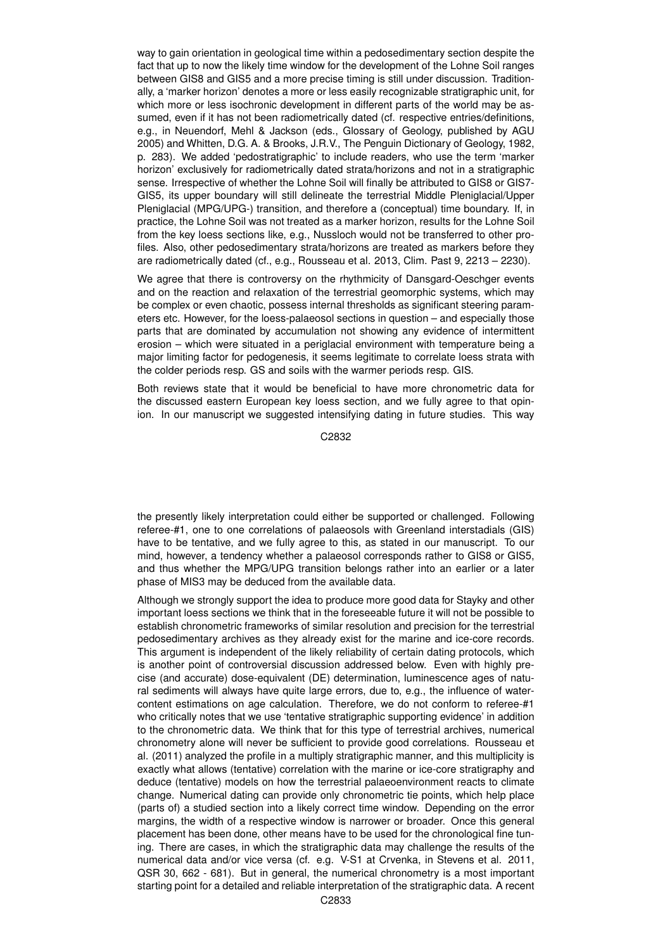way to gain orientation in geological time within a pedosedimentary section despite the fact that up to now the likely time window for the development of the Lohne Soil ranges between GIS8 and GIS5 and a more precise timing is still under discussion. Traditionally, a 'marker horizon' denotes a more or less easily recognizable stratigraphic unit, for which more or less isochronic development in different parts of the world may be assumed, even if it has not been radiometrically dated (cf. respective entries/definitions, e.g., in Neuendorf, Mehl & Jackson (eds., Glossary of Geology, published by AGU 2005) and Whitten, D.G. A. & Brooks, J.R.V., The Penguin Dictionary of Geology, 1982, p. 283). We added 'pedostratigraphic' to include readers, who use the term 'marker horizon' exclusively for radiometrically dated strata/horizons and not in a stratigraphic sense. Irrespective of whether the Lohne Soil will finally be attributed to GIS8 or GIS7- GIS5, its upper boundary will still delineate the terrestrial Middle Pleniglacial/Upper Pleniglacial (MPG/UPG-) transition, and therefore a (conceptual) time boundary. If, in practice, the Lohne Soil was not treated as a marker horizon, results for the Lohne Soil from the key loess sections like, e.g., Nussloch would not be transferred to other profiles. Also, other pedosedimentary strata/horizons are treated as markers before they are radiometrically dated (cf., e.g., Rousseau et al. 2013, Clim. Past 9, 2213 – 2230).

We agree that there is controversy on the rhythmicity of Dansgard-Oeschger events and on the reaction and relaxation of the terrestrial geomorphic systems, which may be complex or even chaotic, possess internal thresholds as significant steering parameters etc. However, for the loess-palaeosol sections in question – and especially those parts that are dominated by accumulation not showing any evidence of intermittent erosion – which were situated in a periglacial environment with temperature being a major limiting factor for pedogenesis, it seems legitimate to correlate loess strata with the colder periods resp. GS and soils with the warmer periods resp. GIS.

Both reviews state that it would be beneficial to have more chronometric data for the discussed eastern European key loess section, and we fully agree to that opinion. In our manuscript we suggested intensifying dating in future studies. This way

C2832

the presently likely interpretation could either be supported or challenged. Following referee-#1, one to one correlations of palaeosols with Greenland interstadials (GIS) have to be tentative, and we fully agree to this, as stated in our manuscript. To our mind, however, a tendency whether a palaeosol corresponds rather to GIS8 or GIS5, and thus whether the MPG/UPG transition belongs rather into an earlier or a later phase of MIS3 may be deduced from the available data.

Although we strongly support the idea to produce more good data for Stayky and other important loess sections we think that in the foreseeable future it will not be possible to establish chronometric frameworks of similar resolution and precision for the terrestrial pedosedimentary archives as they already exist for the marine and ice-core records. This argument is independent of the likely reliability of certain dating protocols, which is another point of controversial discussion addressed below. Even with highly precise (and accurate) dose-equivalent (DE) determination, luminescence ages of natural sediments will always have quite large errors, due to, e.g., the influence of watercontent estimations on age calculation. Therefore, we do not conform to referee-#1 who critically notes that we use 'tentative stratigraphic supporting evidence' in addition to the chronometric data. We think that for this type of terrestrial archives, numerical chronometry alone will never be sufficient to provide good correlations. Rousseau et al. (2011) analyzed the profile in a multiply stratigraphic manner, and this multiplicity is exactly what allows (tentative) correlation with the marine or ice-core stratigraphy and deduce (tentative) models on how the terrestrial palaeoenvironment reacts to climate change. Numerical dating can provide only chronometric tie points, which help place (parts of) a studied section into a likely correct time window. Depending on the error margins, the width of a respective window is narrower or broader. Once this general placement has been done, other means have to be used for the chronological fine tuning. There are cases, in which the stratigraphic data may challenge the results of the numerical data and/or vice versa (cf. e.g. V-S1 at Crvenka, in Stevens et al. 2011, QSR 30, 662 - 681). But in general, the numerical chronometry is a most important starting point for a detailed and reliable interpretation of the stratigraphic data. A recent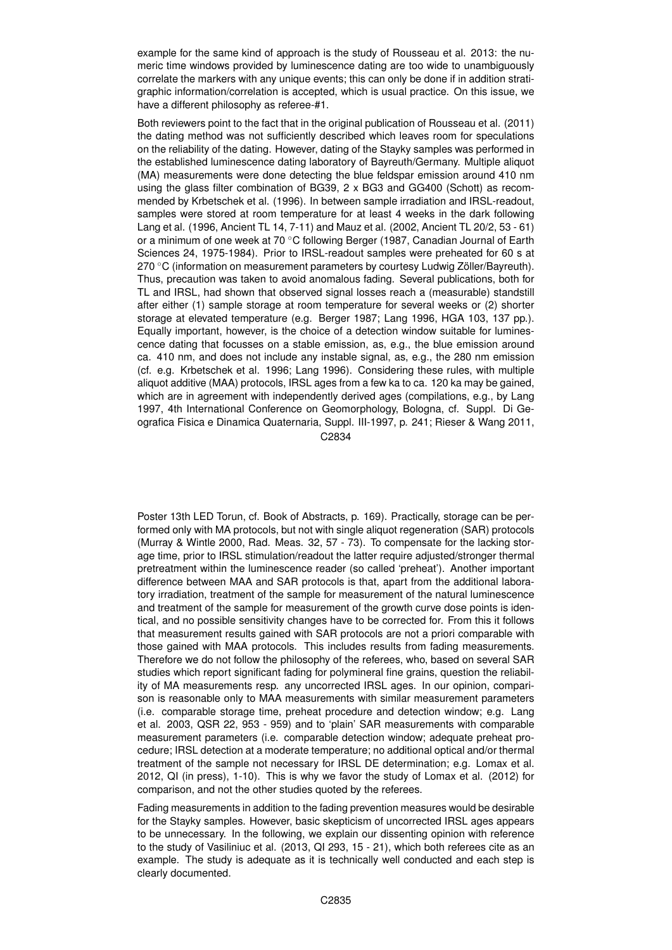example for the same kind of approach is the study of Rousseau et al. 2013: the numeric time windows provided by luminescence dating are too wide to unambiguously correlate the markers with any unique events; this can only be done if in addition stratigraphic information/correlation is accepted, which is usual practice. On this issue, we have a different philosophy as referee-#1.

Both reviewers point to the fact that in the original publication of Rousseau et al. (2011) the dating method was not sufficiently described which leaves room for speculations on the reliability of the dating. However, dating of the Stayky samples was performed in the established luminescence dating laboratory of Bayreuth/Germany. Multiple aliquot (MA) measurements were done detecting the blue feldspar emission around 410 nm using the glass filter combination of BG39, 2 x BG3 and GG400 (Schott) as recommended by Krbetschek et al. (1996). In between sample irradiation and IRSL-readout, samples were stored at room temperature for at least 4 weeks in the dark following Lang et al. (1996, Ancient TL 14, 7-11) and Mauz et al. (2002, Ancient TL 20/2, 53 - 61) or a minimum of one week at 70 ◦C following Berger (1987, Canadian Journal of Earth Sciences 24, 1975-1984). Prior to IRSL-readout samples were preheated for 60 s at 270 ℃ (information on measurement parameters by courtesy Ludwig Zöller/Bayreuth). Thus, precaution was taken to avoid anomalous fading. Several publications, both for TL and IRSL, had shown that observed signal losses reach a (measurable) standstill after either (1) sample storage at room temperature for several weeks or (2) shorter storage at elevated temperature (e.g. Berger 1987; Lang 1996, HGA 103, 137 pp.). Equally important, however, is the choice of a detection window suitable for luminescence dating that focusses on a stable emission, as, e.g., the blue emission around ca. 410 nm, and does not include any instable signal, as, e.g., the 280 nm emission (cf. e.g. Krbetschek et al. 1996; Lang 1996). Considering these rules, with multiple aliquot additive (MAA) protocols, IRSL ages from a few ka to ca. 120 ka may be gained, which are in agreement with independently derived ages (compilations, e.g., by Lang 1997, 4th International Conference on Geomorphology, Bologna, cf. Suppl. Di Geografica Fisica e Dinamica Quaternaria, Suppl. III-1997, p. 241; Rieser & Wang 2011,

C2834

Poster 13th LED Torun, cf. Book of Abstracts, p. 169). Practically, storage can be performed only with MA protocols, but not with single aliquot regeneration (SAR) protocols (Murray & Wintle 2000, Rad. Meas. 32, 57 - 73). To compensate for the lacking storage time, prior to IRSL stimulation/readout the latter require adjusted/stronger thermal pretreatment within the luminescence reader (so called 'preheat'). Another important difference between MAA and SAR protocols is that, apart from the additional laboratory irradiation, treatment of the sample for measurement of the natural luminescence and treatment of the sample for measurement of the growth curve dose points is identical, and no possible sensitivity changes have to be corrected for. From this it follows that measurement results gained with SAR protocols are not a priori comparable with those gained with MAA protocols. This includes results from fading measurements. Therefore we do not follow the philosophy of the referees, who, based on several SAR studies which report significant fading for polymineral fine grains, question the reliability of MA measurements resp. any uncorrected IRSL ages. In our opinion, comparison is reasonable only to MAA measurements with similar measurement parameters (i.e. comparable storage time, preheat procedure and detection window; e.g. Lang et al. 2003, QSR 22, 953 - 959) and to 'plain' SAR measurements with comparable measurement parameters (i.e. comparable detection window; adequate preheat procedure; IRSL detection at a moderate temperature; no additional optical and/or thermal treatment of the sample not necessary for IRSL DE determination; e.g. Lomax et al. 2012, QI (in press), 1-10). This is why we favor the study of Lomax et al. (2012) for comparison, and not the other studies quoted by the referees.

Fading measurements in addition to the fading prevention measures would be desirable for the Stayky samples. However, basic skepticism of uncorrected IRSL ages appears to be unnecessary. In the following, we explain our dissenting opinion with reference to the study of Vasiliniuc et al. (2013, QI 293, 15 - 21), which both referees cite as an example. The study is adequate as it is technically well conducted and each step is clearly documented.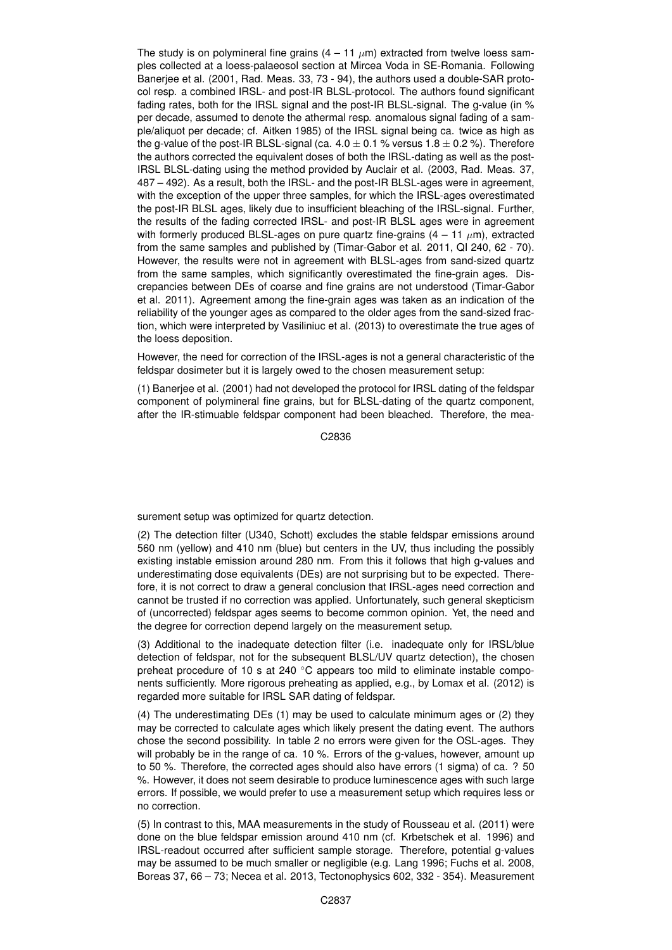The study is on polymineral fine grains  $(4 - 11 \mu m)$  extracted from twelve loess samples collected at a loess-palaeosol section at Mircea Voda in SE-Romania. Following Banerjee et al. (2001, Rad. Meas. 33, 73 - 94), the authors used a double-SAR protocol resp. a combined IRSL- and post-IR BLSL-protocol. The authors found significant fading rates, both for the IRSL signal and the post-IR BLSL-signal. The g-value (in % per decade, assumed to denote the athermal resp. anomalous signal fading of a sample/aliquot per decade; cf. Aitken 1985) of the IRSL signal being ca. twice as high as the g-value of the post-IR BLSL-signal (ca.  $4.0 \pm 0.1$  % versus  $1.8 \pm 0.2$  %). Therefore the authors corrected the equivalent doses of both the IRSL-dating as well as the post-IRSL BLSL-dating using the method provided by Auclair et al. (2003, Rad. Meas. 37, 487 – 492). As a result, both the IRSL- and the post-IR BLSL-ages were in agreement, with the exception of the upper three samples, for which the IRSL-ages overestimated the post-IR BLSL ages, likely due to insufficient bleaching of the IRSL-signal. Further, the results of the fading corrected IRSL- and post-IR BLSL ages were in agreement with formerly produced BLSL-ages on pure quartz fine-grains  $(4 - 11 \mu m)$ , extracted from the same samples and published by (Timar-Gabor et al. 2011, QI 240, 62 - 70). However, the results were not in agreement with BLSL-ages from sand-sized quartz from the same samples, which significantly overestimated the fine-grain ages. Discrepancies between DEs of coarse and fine grains are not understood (Timar-Gabor et al. 2011). Agreement among the fine-grain ages was taken as an indication of the reliability of the younger ages as compared to the older ages from the sand-sized fraction, which were interpreted by Vasiliniuc et al. (2013) to overestimate the true ages of the loess deposition.

However, the need for correction of the IRSL-ages is not a general characteristic of the feldspar dosimeter but it is largely owed to the chosen measurement setup:

(1) Banerjee et al. (2001) had not developed the protocol for IRSL dating of the feldspar component of polymineral fine grains, but for BLSL-dating of the quartz component, after the IR-stimuable feldspar component had been bleached. Therefore, the mea-

C2836

surement setup was optimized for quartz detection.

(2) The detection filter (U340, Schott) excludes the stable feldspar emissions around 560 nm (yellow) and 410 nm (blue) but centers in the UV, thus including the possibly existing instable emission around 280 nm. From this it follows that high g-values and underestimating dose equivalents (DEs) are not surprising but to be expected. Therefore, it is not correct to draw a general conclusion that IRSL-ages need correction and cannot be trusted if no correction was applied. Unfortunately, such general skepticism of (uncorrected) feldspar ages seems to become common opinion. Yet, the need and the degree for correction depend largely on the measurement setup.

(3) Additional to the inadequate detection filter (i.e. inadequate only for IRSL/blue detection of feldspar, not for the subsequent BLSL/UV quartz detection), the chosen preheat procedure of 10 s at 240 ℃ appears too mild to eliminate instable components sufficiently. More rigorous preheating as applied, e.g., by Lomax et al. (2012) is regarded more suitable for IRSL SAR dating of feldspar.

(4) The underestimating DEs (1) may be used to calculate minimum ages or (2) they may be corrected to calculate ages which likely present the dating event. The authors chose the second possibility. In table 2 no errors were given for the OSL-ages. They will probably be in the range of ca. 10 %. Errors of the g-values, however, amount up to 50 %. Therefore, the corrected ages should also have errors (1 sigma) of ca. ? 50 %. However, it does not seem desirable to produce luminescence ages with such large errors. If possible, we would prefer to use a measurement setup which requires less or no correction.

(5) In contrast to this, MAA measurements in the study of Rousseau et al. (2011) were done on the blue feldspar emission around 410 nm (cf. Krbetschek et al. 1996) and IRSL-readout occurred after sufficient sample storage. Therefore, potential g-values may be assumed to be much smaller or negligible (e.g. Lang 1996; Fuchs et al. 2008, Boreas 37, 66 – 73; Necea et al. 2013, Tectonophysics 602, 332 - 354). Measurement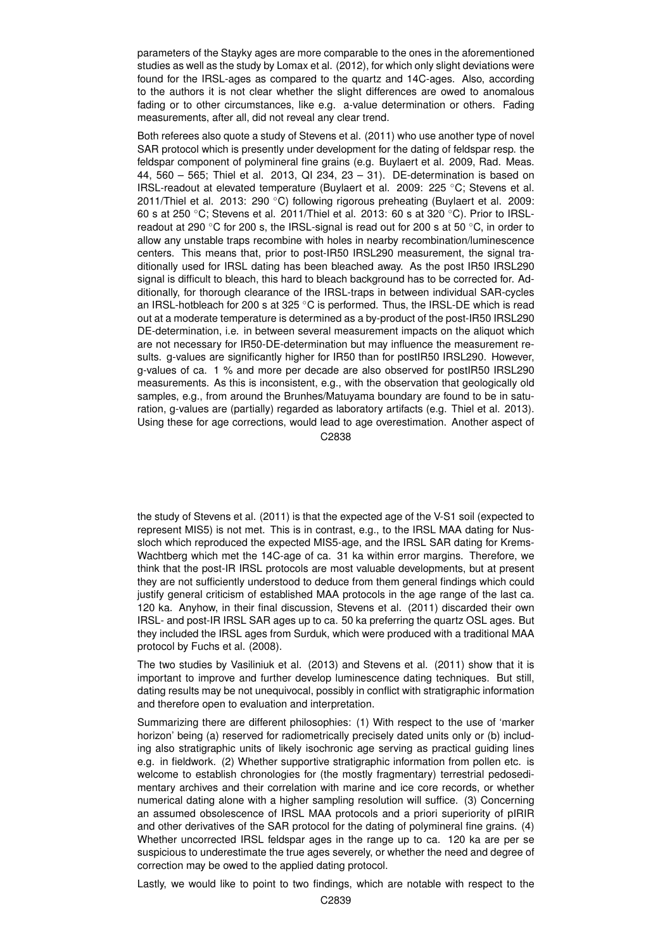parameters of the Stayky ages are more comparable to the ones in the aforementioned studies as well as the study by Lomax et al. (2012), for which only slight deviations were found for the IRSL-ages as compared to the quartz and 14C-ages. Also, according to the authors it is not clear whether the slight differences are owed to anomalous fading or to other circumstances, like e.g. a-value determination or others. Fading measurements, after all, did not reveal any clear trend.

Both referees also quote a study of Stevens et al. (2011) who use another type of novel SAR protocol which is presently under development for the dating of feldspar resp. the feldspar component of polymineral fine grains (e.g. Buylaert et al. 2009, Rad. Meas. 44, 560 – 565; Thiel et al. 2013, QI 234, 23 – 31). DE-determination is based on IRSL-readout at elevated temperature (Buylaert et al. 2009: 225 ◦C; Stevens et al. 2011/Thiel et al. 2013: 290 °C) following rigorous preheating (Buylaert et al. 2009: 60 s at 250 ◦C; Stevens et al. 2011/Thiel et al. 2013: 60 s at 320 ◦C). Prior to IRSLreadout at 290  $\degree$ C for 200 s, the IRSL-signal is read out for 200 s at 50  $\degree$ C, in order to allow any unstable traps recombine with holes in nearby recombination/luminescence centers. This means that, prior to post-IR50 IRSL290 measurement, the signal traditionally used for IRSL dating has been bleached away. As the post IR50 IRSL290 signal is difficult to bleach, this hard to bleach background has to be corrected for. Additionally, for thorough clearance of the IRSL-traps in between individual SAR-cycles an IRSL-hotbleach for 200 s at 325 ◦C is performed. Thus, the IRSL-DE which is read out at a moderate temperature is determined as a by-product of the post-IR50 IRSL290 DE-determination, i.e. in between several measurement impacts on the aliquot which are not necessary for IR50-DE-determination but may influence the measurement results. g-values are significantly higher for IR50 than for postIR50 IRSL290. However, g-values of ca. 1 % and more per decade are also observed for postIR50 IRSL290 measurements. As this is inconsistent, e.g., with the observation that geologically old samples, e.g., from around the Brunhes/Matuyama boundary are found to be in saturation, g-values are (partially) regarded as laboratory artifacts (e.g. Thiel et al. 2013). Using these for age corrections, would lead to age overestimation. Another aspect of

C2838

the study of Stevens et al. (2011) is that the expected age of the V-S1 soil (expected to represent MIS5) is not met. This is in contrast, e.g., to the IRSL MAA dating for Nussloch which reproduced the expected MIS5-age, and the IRSL SAR dating for Krems-Wachtberg which met the 14C-age of ca. 31 ka within error margins. Therefore, we think that the post-IR IRSL protocols are most valuable developments, but at present they are not sufficiently understood to deduce from them general findings which could justify general criticism of established MAA protocols in the age range of the last ca. 120 ka. Anyhow, in their final discussion, Stevens et al. (2011) discarded their own IRSL- and post-IR IRSL SAR ages up to ca. 50 ka preferring the quartz OSL ages. But they included the IRSL ages from Surduk, which were produced with a traditional MAA protocol by Fuchs et al. (2008).

The two studies by Vasiliniuk et al. (2013) and Stevens et al. (2011) show that it is important to improve and further develop luminescence dating techniques. But still, dating results may be not unequivocal, possibly in conflict with stratigraphic information and therefore open to evaluation and interpretation.

Summarizing there are different philosophies: (1) With respect to the use of 'marker horizon' being (a) reserved for radiometrically precisely dated units only or (b) including also stratigraphic units of likely isochronic age serving as practical guiding lines e.g. in fieldwork. (2) Whether supportive stratigraphic information from pollen etc. is welcome to establish chronologies for (the mostly fragmentary) terrestrial pedosedimentary archives and their correlation with marine and ice core records, or whether numerical dating alone with a higher sampling resolution will suffice. (3) Concerning an assumed obsolescence of IRSL MAA protocols and a priori superiority of pIRIR and other derivatives of the SAR protocol for the dating of polymineral fine grains. (4) Whether uncorrected IRSL feldspar ages in the range up to ca. 120 ka are per se suspicious to underestimate the true ages severely, or whether the need and degree of correction may be owed to the applied dating protocol.

Lastly, we would like to point to two findings, which are notable with respect to the